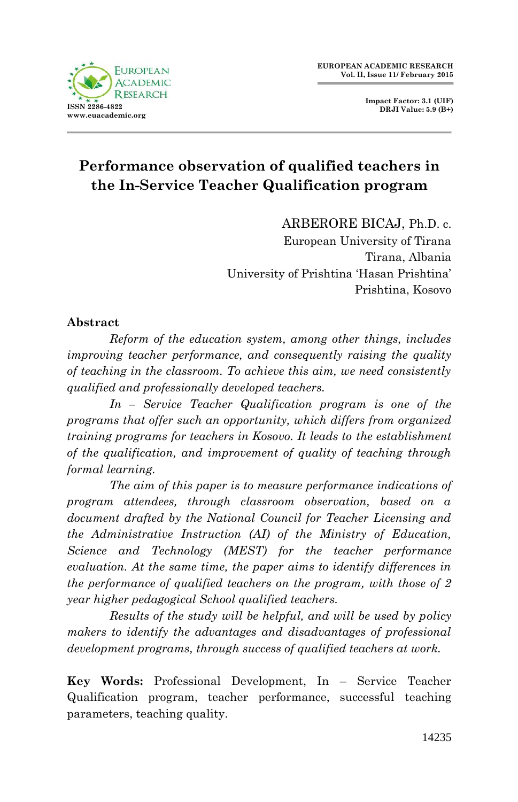

**Impact Factor: 3.1 (UIF) DRJI Value: 5.9 (B+)**

# **Performance observation of qualified teachers in the In-Service Teacher Qualification program**

ARBERORE BICAJ, Ph.D. c.

European University of Tirana Tirana, Albania University of Prishtina "Hasan Prishtina" Prishtina, Kosovo

#### **Abstract**

*Reform of the education system, among other things, includes improving teacher performance, and consequently raising the quality of teaching in the classroom. To achieve this aim, we need consistently qualified and professionally developed teachers.*

*In – Service Teacher Qualification program is one of the programs that offer such an opportunity, which differs from organized training programs for teachers in Kosovo. It leads to the establishment of the qualification, and improvement of quality of teaching through formal learning.*

*The aim of this paper is to measure performance indications of program attendees, through classroom observation, based on a document drafted by the National Council for Teacher Licensing and the Administrative Instruction (AI) of the Ministry of Education, Science and Technology (MEST) for the teacher performance evaluation. At the same time, the paper aims to identify differences in the performance of qualified teachers on the program, with those of 2 year higher pedagogical School qualified teachers.*

*Results of the study will be helpful, and will be used by policy makers to identify the advantages and disadvantages of professional development programs, through success of qualified teachers at work.*

**Key Words:** Professional Development, In – Service Teacher Qualification program, teacher performance, successful teaching parameters, teaching quality.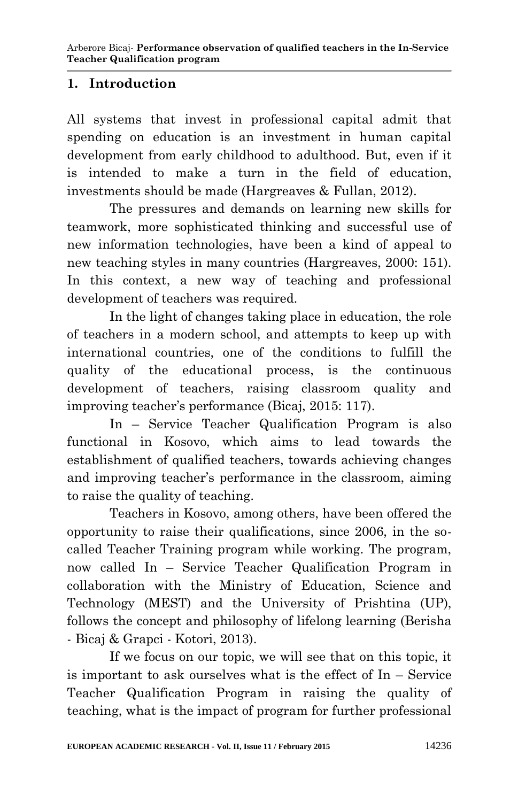# **1. Introduction**

All systems that invest in professional capital admit that spending on education is an investment in human capital development from early childhood to adulthood. But, even if it is intended to make a turn in the field of education, investments should be made (Hargreaves & Fullan, 2012).

The pressures and demands on learning new skills for teamwork, more sophisticated thinking and successful use of new information technologies, have been a kind of appeal to new teaching styles in many countries (Hargreaves, 2000: 151). In this context, a new way of teaching and professional development of teachers was required.

In the light of changes taking place in education, the role of teachers in a modern school, and attempts to keep up with international countries, one of the conditions to fulfill the quality of the educational process, is the continuous development of teachers, raising classroom quality and improving teacher"s performance (Bicaj, 2015: 117).

In – Service Teacher Qualification Program is also functional in Kosovo, which aims to lead towards the establishment of qualified teachers, towards achieving changes and improving teacher"s performance in the classroom, aiming to raise the quality of teaching.

Teachers in Kosovo, among others, have been offered the opportunity to raise their qualifications, since 2006, in the socalled Teacher Training program while working. The program, now called In – Service Teacher Qualification Program in collaboration with the Ministry of Education, Science and Technology (MEST) and the University of Prishtina (UP), follows the concept and philosophy of lifelong learning (Berisha - Bicaj & Grapci - Kotori, 2013).

If we focus on our topic, we will see that on this topic, it is important to ask ourselves what is the effect of In – Service Teacher Qualification Program in raising the quality of teaching, what is the impact of program for further professional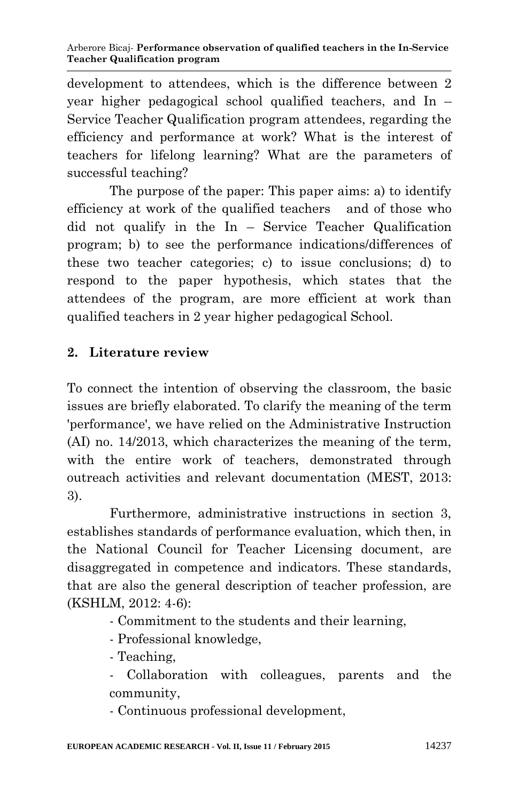development to attendees, which is the difference between 2 year higher pedagogical school qualified teachers, and In – Service Teacher Qualification program attendees, regarding the efficiency and performance at work? What is the interest of teachers for lifelong learning? What are the parameters of successful teaching?

The purpose of the paper: This paper aims: a) to identify efficiency at work of the qualified teachers and of those who did not qualify in the In – Service Teacher Qualification program; b) to see the performance indications/differences of these two teacher categories; c) to issue conclusions; d) to respond to the paper hypothesis, which states that the attendees of the program, are more efficient at work than qualified teachers in 2 year higher pedagogical School.

# **2. Literature review**

To connect the intention of observing the classroom, the basic issues are briefly elaborated. To clarify the meaning of the term 'performance', we have relied on the Administrative Instruction (AI) no. 14/2013, which characterizes the meaning of the term, with the entire work of teachers, demonstrated through outreach activities and relevant documentation (MEST, 2013: 3).

Furthermore, administrative instructions in section 3, establishes standards of performance evaluation, which then, in the National Council for Teacher Licensing document, are disaggregated in competence and indicators. These standards, that are also the general description of teacher profession, are (KSHLM, 2012: 4-6):

- Commitment to the students and their learning,
- Professional knowledge,
- Teaching,
- Collaboration with colleagues, parents and the community,
- Continuous professional development,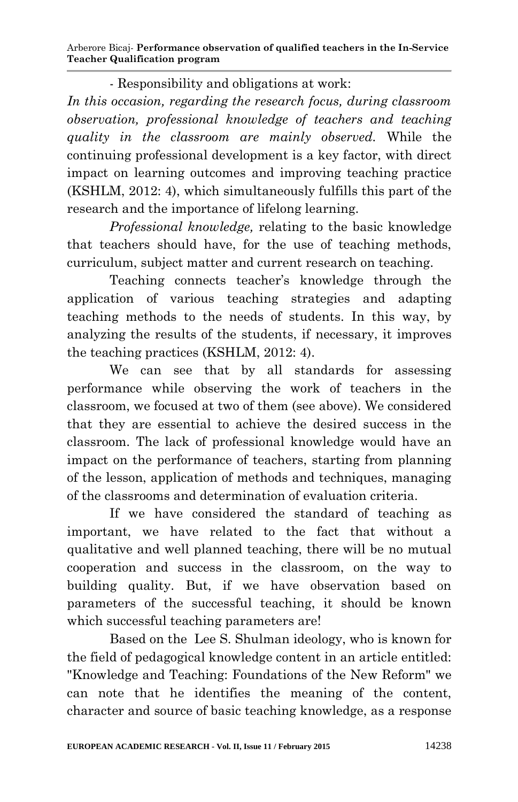- Responsibility and obligations at work:

*In this occasion, regarding the research focus, during classroom observation, professional knowledge of teachers and teaching quality in the classroom are mainly observed.* While the continuing professional development is a key factor, with direct impact on learning outcomes and improving teaching practice (KSHLM, 2012: 4), which simultaneously fulfills this part of the research and the importance of lifelong learning.

*Professional knowledge,* relating to the basic knowledge that teachers should have, for the use of teaching methods, curriculum, subject matter and current research on teaching.

Teaching connects teacher"s knowledge through the application of various teaching strategies and adapting teaching methods to the needs of students. In this way, by analyzing the results of the students, if necessary, it improves the teaching practices (KSHLM, 2012: 4).

We can see that by all standards for assessing performance while observing the work of teachers in the classroom, we focused at two of them (see above). We considered that they are essential to achieve the desired success in the classroom. The lack of professional knowledge would have an impact on the performance of teachers, starting from planning of the lesson, application of methods and techniques, managing of the classrooms and determination of evaluation criteria.

If we have considered the standard of teaching as important, we have related to the fact that without a qualitative and well planned teaching, there will be no mutual cooperation and success in the classroom, on the way to building quality. But, if we have observation based on parameters of the successful teaching, it should be known which successful teaching parameters are!

Based on the Lee S. Shulman ideology, who is known for the field of pedagogical knowledge content in an article entitled: "Knowledge and Teaching: Foundations of the New Reform" we can note that he identifies the meaning of the content, character and source of basic teaching knowledge, as a response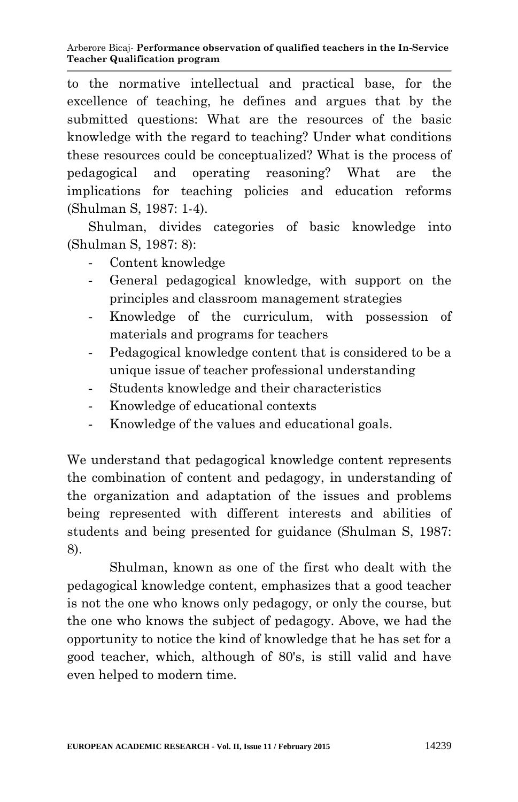to the normative intellectual and practical base, for the excellence of teaching, he defines and argues that by the submitted questions: What are the resources of the basic knowledge with the regard to teaching? Under what conditions these resources could be conceptualized? What is the process of pedagogical and operating reasoning? What are the implications for teaching policies and education reforms (Shulman S, 1987: 1-4).

Shulman, divides categories of basic knowledge into (Shulman S, 1987: 8):

- Content knowledge
- General pedagogical knowledge, with support on the principles and classroom management strategies
- Knowledge of the curriculum, with possession of materials and programs for teachers
- Pedagogical knowledge content that is considered to be a unique issue of teacher professional understanding
- Students knowledge and their characteristics
- Knowledge of educational contexts
- Knowledge of the values and educational goals.

We understand that pedagogical knowledge content represents the combination of content and pedagogy, in understanding of the organization and adaptation of the issues and problems being represented with different interests and abilities of students and being presented for guidance (Shulman S, 1987: 8).

Shulman, known as one of the first who dealt with the pedagogical knowledge content, emphasizes that a good teacher is not the one who knows only pedagogy, or only the course, but the one who knows the subject of pedagogy. Above, we had the opportunity to notice the kind of knowledge that he has set for a good teacher, which, although of 80's, is still valid and have even helped to modern time*.*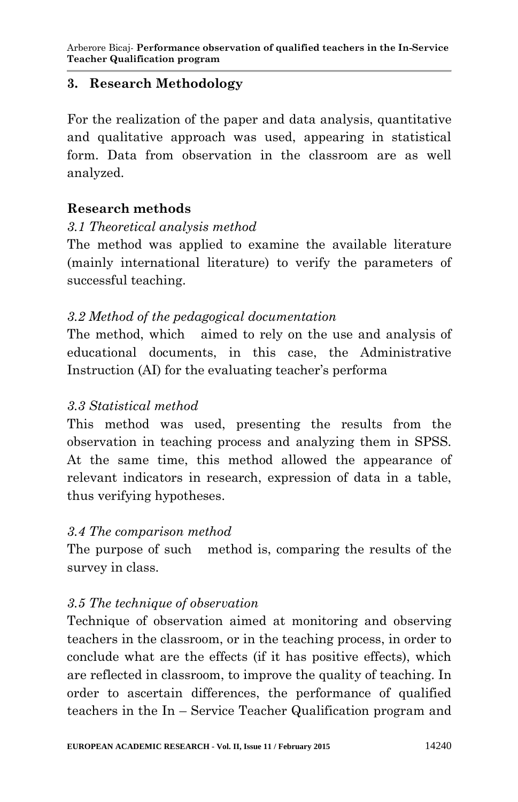### **3. Research Methodology**

For the realization of the paper and data analysis, quantitative and qualitative approach was used, appearing in statistical form. Data from observation in the classroom are as well analyzed.

# **Research methods**

# *3.1 Theoretical analysis method*

The method was applied to examine the available literature (mainly international literature) to verify the parameters of successful teaching.

# *3.2 Method of the pedagogical documentation*

The method, which aimed to rely on the use and analysis of educational documents, in this case, the Administrative Instruction (AI) for the evaluating teacher's performa

### *3.3 Statistical method*

This method was used, presenting the results from the observation in teaching process and analyzing them in SPSS. At the same time, this method allowed the appearance of relevant indicators in research, expression of data in a table, thus verifying hypotheses.

### *3.4 The comparison method*

The purpose of such method is, comparing the results of the survey in class.

### *3.5 The technique of observation*

Technique of observation aimed at monitoring and observing teachers in the classroom, or in the teaching process, in order to conclude what are the effects (if it has positive effects), which are reflected in classroom, to improve the quality of teaching. In order to ascertain differences, the performance of qualified teachers in the In – Service Teacher Qualification program and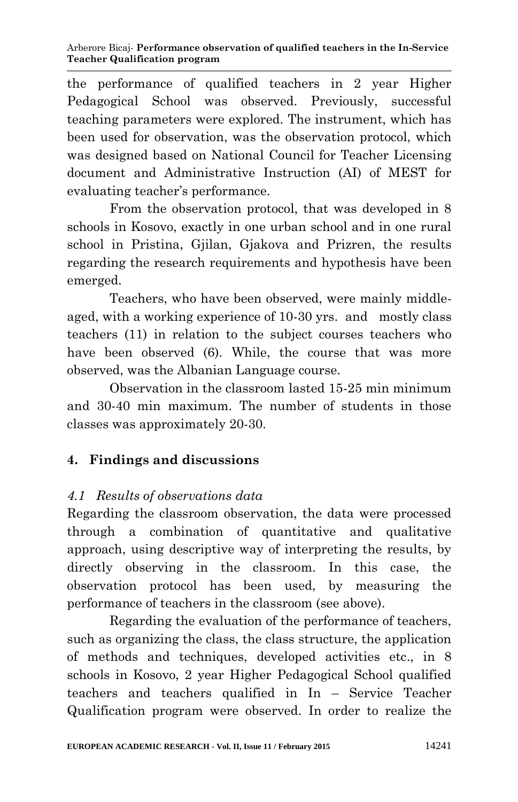the performance of qualified teachers in 2 year Higher Pedagogical School was observed. Previously, successful teaching parameters were explored. The instrument, which has been used for observation, was the observation protocol, which was designed based on National Council for Teacher Licensing document and Administrative Instruction (AI) of MEST for evaluating teacher's performance.

From the observation protocol, that was developed in 8 schools in Kosovo, exactly in one urban school and in one rural school in Pristina, Giilan, Giakova and Prizren, the results regarding the research requirements and hypothesis have been emerged.

Teachers, who have been observed, were mainly middleaged, with a working experience of 10-30 yrs. and mostly class teachers (11) in relation to the subject courses teachers who have been observed (6). While, the course that was more observed, was the Albanian Language course.

Observation in the classroom lasted 15-25 min minimum and 30-40 min maximum. The number of students in those classes was approximately 20-30.

# **4. Findings and discussions**

# *4.1 Results of observations data*

Regarding the classroom observation, the data were processed through a combination of quantitative and qualitative approach, using descriptive way of interpreting the results, by directly observing in the classroom. In this case, the observation protocol has been used, by measuring the performance of teachers in the classroom (see above).

Regarding the evaluation of the performance of teachers, such as organizing the class, the class structure, the application of methods and techniques, developed activities etc., in 8 schools in Kosovo, 2 year Higher Pedagogical School qualified teachers and teachers qualified in In – Service Teacher Qualification program were observed. In order to realize the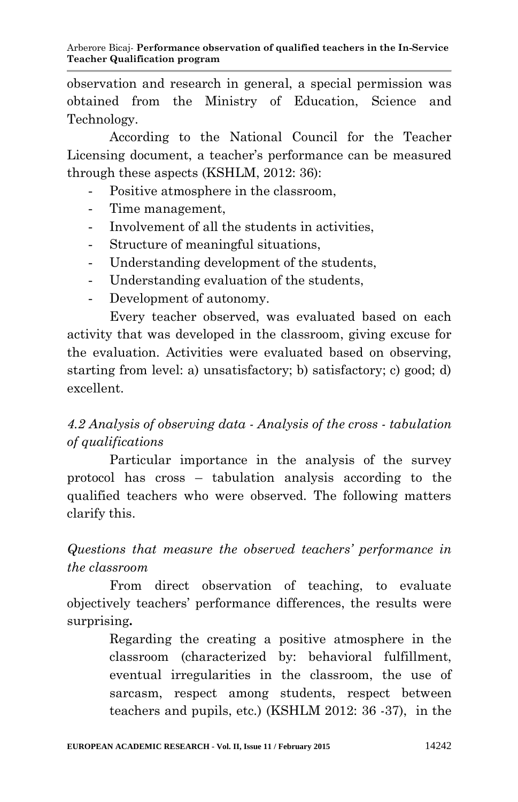observation and research in general, a special permission was obtained from the Ministry of Education, Science and Technology.

According to the National Council for the Teacher Licensing document, a teacher's performance can be measured through these aspects (KSHLM, 2012: 36):

- Positive atmosphere in the classroom,
- Time management,
- Involvement of all the students in activities,
- Structure of meaningful situations.
- Understanding development of the students,
- Understanding evaluation of the students.
- Development of autonomy.

Every teacher observed, was evaluated based on each activity that was developed in the classroom, giving excuse for the evaluation. Activities were evaluated based on observing, starting from level: a) unsatisfactory; b) satisfactory; c) good; d) excellent.

# *4.2 Analysis of observing data - Analysis of the cross - tabulation of qualifications*

Particular importance in the analysis of the survey protocol has cross – tabulation analysis according to the qualified teachers who were observed. The following matters clarify this.

*Questions that measure the observed teachers' performance in the classroom* 

From direct observation of teaching, to evaluate objectively teachers" performance differences, the results were surprising**.**

> Regarding the creating a positive atmosphere in the classroom (characterized by: behavioral fulfillment, eventual irregularities in the classroom, the use of sarcasm, respect among students, respect between teachers and pupils, etc.) (KSHLM 2012: 36 -37), in the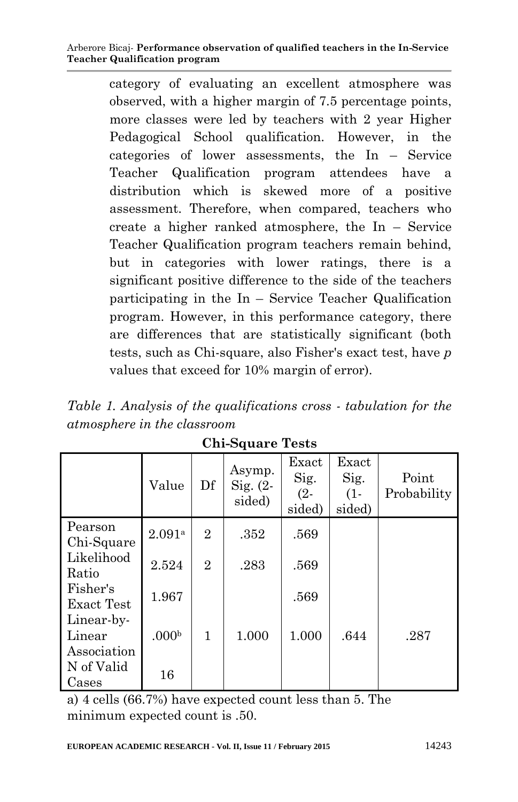category of evaluating an excellent atmosphere was observed, with a higher margin of 7.5 percentage points, more classes were led by teachers with 2 year Higher Pedagogical School qualification. However, in the categories of lower assessments, the In – Service Teacher Qualification program attendees have a distribution which is skewed more of a positive assessment. Therefore, when compared, teachers who create a higher ranked atmosphere, the In – Service Teacher Qualification program teachers remain behind, but in categories with lower ratings, there is a significant positive difference to the side of the teachers participating in the In – Service Teacher Qualification program. However, in this performance category, there are differences that are statistically significant (both tests, such as Chi-square, also Fisher's exact test, have *p* values that exceed for 10% margin of error).

*Table 1. Analysis of the qualifications cross - tabulation for the atmosphere in the classroom*

|                                     | Value             | Df             | Asymp.<br>Sig. $(2 -$<br>sided) | Exact<br>Sig.<br>$(2 -$<br>sided) | Exact<br>Sig.<br>$(1 -$<br>sided) | Point<br>Probability |
|-------------------------------------|-------------------|----------------|---------------------------------|-----------------------------------|-----------------------------------|----------------------|
| Pearson<br>Chi-Square               | 2.091a            | $\overline{2}$ | .352                            | .569                              |                                   |                      |
| Likelihood<br>Ratio                 | 2.524             | $\overline{2}$ | .283                            | .569                              |                                   |                      |
| Fisher's<br>Exact Test              | 1.967             |                |                                 | .569                              |                                   |                      |
| Linear-by-<br>Linear<br>Association | .000 <sub>b</sub> | 1              | 1.000                           | 1.000                             | .644                              | .287                 |
| N of Valid<br>Cases                 | 16                |                |                                 |                                   |                                   |                      |

**Chi-Square Tests**

a) 4 cells (66.7%) have expected count less than 5. The minimum expected count is .50.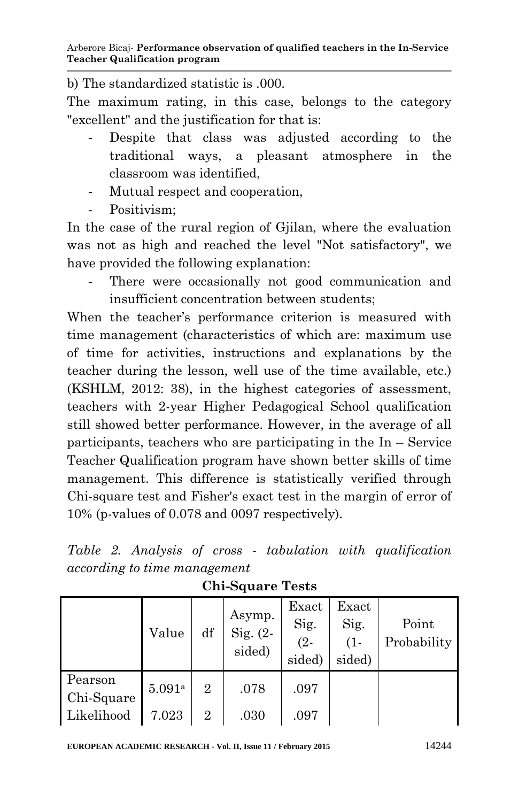b) The standardized statistic is .000.

The maximum rating, in this case, belongs to the category "excellent" and the justification for that is:

- Despite that class was adjusted according to the traditional ways, a pleasant atmosphere in the classroom was identified,
- Mutual respect and cooperation,
- Positivism:

In the case of the rural region of Gjilan, where the evaluation was not as high and reached the level "Not satisfactory", we have provided the following explanation:

There were occasionally not good communication and insufficient concentration between students;

When the teacher's performance criterion is measured with time management (characteristics of which are: maximum use of time for activities, instructions and explanations by the teacher during the lesson, well use of the time available, etc.) (KSHLM, 2012: 38), in the highest categories of assessment, teachers with 2-year Higher Pedagogical School qualification still showed better performance. However, in the average of all participants, teachers who are participating in the In – Service Teacher Qualification program have shown better skills of time management. This difference is statistically verified through Chi-square test and Fisher's exact test in the margin of error of 10% (p-values of 0.078 and 0097 respectively).

|  |                              |  |  | Table 2. Analysis of cross - tabulation with qualification |
|--|------------------------------|--|--|------------------------------------------------------------|
|  | according to time management |  |  |                                                            |

|                       | Value  | df             | Asymp.<br>Sig. $(2-$<br>sided) | Exact<br>Sig.<br>$(2 -$<br>sided) | Exact<br>Sig.<br>$(1 -$<br>sided) | Point<br>Probability |
|-----------------------|--------|----------------|--------------------------------|-----------------------------------|-----------------------------------|----------------------|
| Pearson<br>Chi-Square | 5.091a | $\overline{2}$ | .078                           | .097                              |                                   |                      |
| Likelihood            | 7.023  | $\overline{2}$ | .030                           | .097                              |                                   |                      |

**Chi-Square Tests**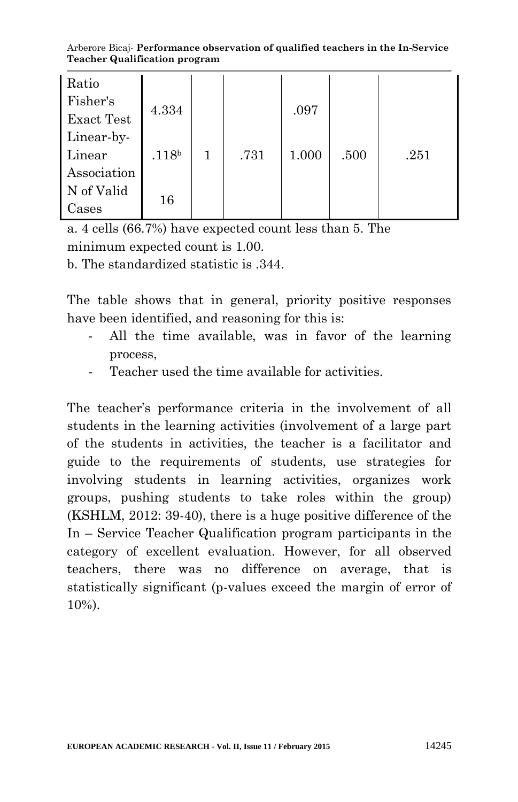Arberore Bicaj- **Performance observation of qualified teachers in the In-Service Teacher Qualification program**

| Ratio             |                   |   |      |       |      |      |
|-------------------|-------------------|---|------|-------|------|------|
| Fisher's          | 4.334             |   |      | .097  |      |      |
| <b>Exact Test</b> |                   |   |      |       |      |      |
| Linear-by-        |                   |   |      |       |      |      |
| Linear            | .118 <sup>b</sup> | 1 | .731 | 1.000 | .500 | .251 |
| Association       |                   |   |      |       |      |      |
| N of Valid        | 16                |   |      |       |      |      |
| Cases             |                   |   |      |       |      |      |

a. 4 cells (66.7%) have expected count less than 5. The minimum expected count is 1.00.

b. The standardized statistic is .344.

The table shows that in general, priority positive responses have been identified, and reasoning for this is:

- All the time available, was in favor of the learning process,
- Teacher used the time available for activities.

The teacher's performance criteria in the involvement of all students in the learning activities (involvement of a large part of the students in activities, the teacher is a facilitator and guide to the requirements of students, use strategies for involving students in learning activities, organizes work groups, pushing students to take roles within the group) (KSHLM, 2012: 39-40), there is a huge positive difference of the In – Service Teacher Qualification program participants in the category of excellent evaluation. However, for all observed teachers, there was no difference on average, that is statistically significant (p-values exceed the margin of error of 10%).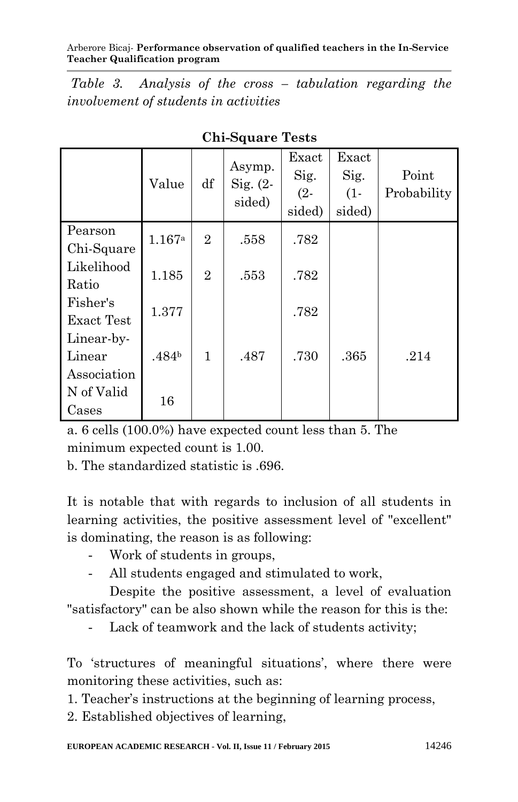Arberore Bicaj- **Performance observation of qualified teachers in the In-Service Teacher Qualification program**

*Table 3. Analysis of the cross – tabulation regarding the involvement of students in activities*

|                                     | Value             | df             | Asymp.<br>Sig. $(2 -$<br>sided) | Exact<br>Sig.<br>$(2 -$<br>sided) | Exact<br>Sig.<br>$(1 -$<br>sided) | Point<br>Probability |
|-------------------------------------|-------------------|----------------|---------------------------------|-----------------------------------|-----------------------------------|----------------------|
| Pearson<br>Chi-Square               | 1.167a            | $\overline{2}$ | .558                            | .782                              |                                   |                      |
| Likelihood<br>Ratio                 | 1.185             | $\overline{2}$ | .553                            | .782                              |                                   |                      |
| Fisher's<br><b>Exact Test</b>       | 1.377             |                |                                 | .782                              |                                   |                      |
| Linear-by-<br>Linear<br>Association | .484 <sup>b</sup> | 1              | .487                            | .730                              | .365                              | .214                 |
| N of Valid<br>Cases                 | 16                |                |                                 |                                   |                                   |                      |

**Chi-Square Tests**

a. 6 cells (100.0%) have expected count less than 5. The minimum expected count is 1.00.

b. The standardized statistic is. 696.

It is notable that with regards to inclusion of all students in learning activities, the positive assessment level of "excellent" is dominating, the reason is as following:

- Work of students in groups,
- All students engaged and stimulated to work,

Despite the positive assessment, a level of evaluation "satisfactory" can be also shown while the reason for this is the:

- Lack of teamwork and the lack of students activity;

To 'structures of meaningful situations', where there were monitoring these activities, such as:

1. Teacher"s instructions at the beginning of learning process,

2. Established objectives of learning,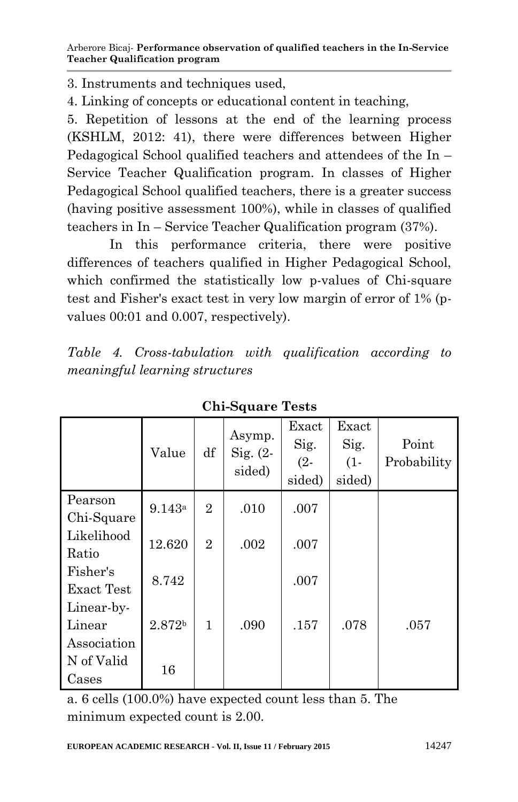3. Instruments and techniques used,

4. Linking of concepts or educational content in teaching,

5. Repetition of lessons at the end of the learning process (KSHLM, 2012: 41), there were differences between Higher Pedagogical School qualified teachers and attendees of the In – Service Teacher Qualification program. In classes of Higher Pedagogical School qualified teachers, there is a greater success (having positive assessment 100%), while in classes of qualified teachers in In – Service Teacher Qualification program (37%).

In this performance criteria, there were positive differences of teachers qualified in Higher Pedagogical School, which confirmed the statistically low p-values of Chi-square test and Fisher's exact test in very low margin of error of 1% (pvalues 00:01 and 0.007, respectively).

*Table 4. Cross-tabulation with qualification according to meaningful learning structures*

|                   | Value              | df             | Asymp.<br>Sig. $(2 -$<br>sided) | Exact<br>Sig.<br>$(2 -$<br>sided) | Exact<br>Sig.<br>$(1 -$<br>sided) | Point<br>Probability |
|-------------------|--------------------|----------------|---------------------------------|-----------------------------------|-----------------------------------|----------------------|
| Pearson           | 9.143a             | $\overline{2}$ | .010                            | .007                              |                                   |                      |
| Chi-Square        |                    |                |                                 |                                   |                                   |                      |
| Likelihood        | 12.620             | $\overline{2}$ | .002                            | .007                              |                                   |                      |
| Ratio             |                    |                |                                 |                                   |                                   |                      |
| Fisher's          | 8.742              |                |                                 | .007                              |                                   |                      |
| <b>Exact Test</b> |                    |                |                                 |                                   |                                   |                      |
| Linear-by-        |                    |                |                                 |                                   |                                   |                      |
| Linear            | 2.872 <sup>b</sup> | 1              | .090                            | .157                              | .078                              | .057                 |
| Association       |                    |                |                                 |                                   |                                   |                      |
| N of Valid        |                    |                |                                 |                                   |                                   |                      |
| Cases             | 16                 |                |                                 |                                   |                                   |                      |

**Chi-Square Tests**

a. 6 cells (100.0%) have expected count less than 5. The minimum expected count is 2.00.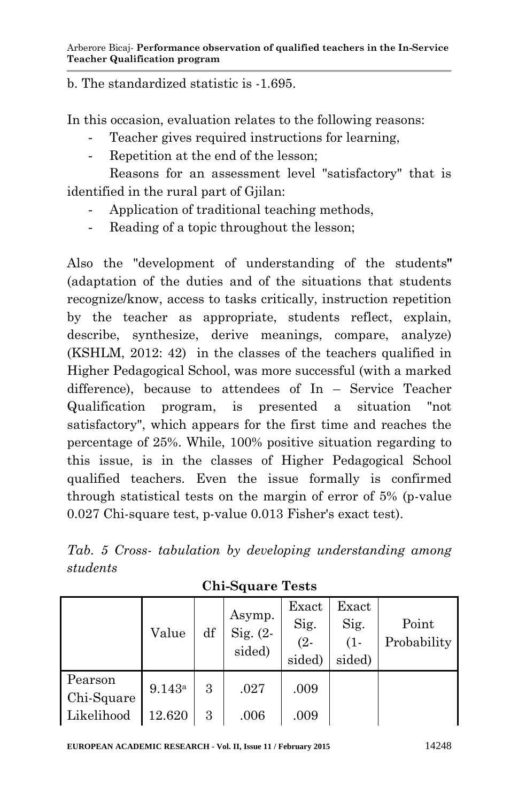b. The standardized statistic is -1.695.

In this occasion, evaluation relates to the following reasons:

- Teacher gives required instructions for learning.
- Repetition at the end of the lesson;

Reasons for an assessment level "satisfactory" that is identified in the rural part of Gjilan:

- Application of traditional teaching methods,
- Reading of a topic throughout the lesson;

Also the "development of understanding of the students**"** (adaptation of the duties and of the situations that students recognize/know, access to tasks critically, instruction repetition by the teacher as appropriate, students reflect, explain, describe, synthesize, derive meanings, compare, analyze) (KSHLM, 2012: 42) in the classes of the teachers qualified in Higher Pedagogical School, was more successful (with a marked difference), because to attendees of In – Service Teacher Qualification program, is presented a situation "not satisfactory", which appears for the first time and reaches the percentage of 25%. While, 100% positive situation regarding to this issue, is in the classes of Higher Pedagogical School qualified teachers. Even the issue formally is confirmed through statistical tests on the margin of error of 5% (p-value 0.027 Chi-square test, p-value 0.013 Fisher's exact test).

|          |  |  | Tab. 5 Cross-tabulation by developing understanding among |  |
|----------|--|--|-----------------------------------------------------------|--|
| students |  |  |                                                           |  |

|                       | Value  | df | Asymp.<br>Sig. $(2 -$<br>sided) | Exact<br>Sig.<br>$(2 -$<br>sided) | Exact<br>Sig.<br>$(1 -$<br>sided) | Point<br>Probability |
|-----------------------|--------|----|---------------------------------|-----------------------------------|-----------------------------------|----------------------|
| Pearson<br>Chi-Square | 9.143a | 3  | .027                            | .009                              |                                   |                      |
| Likelihood            | 12.620 | 3  | .006                            | .009                              |                                   |                      |

**Chi-Square Tests**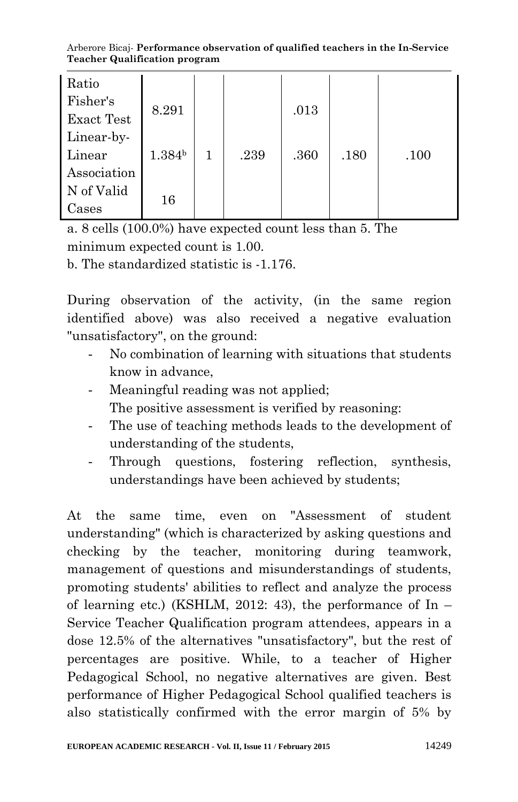Arberore Bicaj- **Performance observation of qualified teachers in the In-Service Teacher Qualification program**

| Ratio             |                    |   |      |      |      |      |
|-------------------|--------------------|---|------|------|------|------|
| Fisher's          | 8.291              |   |      | .013 |      |      |
| <b>Exact Test</b> |                    |   |      |      |      |      |
| Linear-by-        |                    |   |      |      |      |      |
| Linear            | 1.384 <sup>b</sup> | 1 | .239 | .360 | .180 | .100 |
| Association       |                    |   |      |      |      |      |
| N of Valid        | 16                 |   |      |      |      |      |
| Cases             |                    |   |      |      |      |      |

a. 8 cells (100.0%) have expected count less than 5. The minimum expected count is 1.00.

b. The standardized statistic is -1.176.

During observation of the activity, (in the same region identified above) was also received a negative evaluation "unsatisfactory", on the ground:

- No combination of learning with situations that students know in advance,
- Meaningful reading was not applied; The positive assessment is verified by reasoning:
- The use of teaching methods leads to the development of understanding of the students,
- Through questions, fostering reflection, synthesis, understandings have been achieved by students;

At the same time, even on "Assessment of student understanding" (which is characterized by asking questions and checking by the teacher, monitoring during teamwork, management of questions and misunderstandings of students, promoting students' abilities to reflect and analyze the process of learning etc.) (KSHLM, 2012: 43), the performance of  $\text{In}$  – Service Teacher Qualification program attendees, appears in a dose 12.5% of the alternatives "unsatisfactory", but the rest of percentages are positive. While, to a teacher of Higher Pedagogical School, no negative alternatives are given. Best performance of Higher Pedagogical School qualified teachers is also statistically confirmed with the error margin of 5% by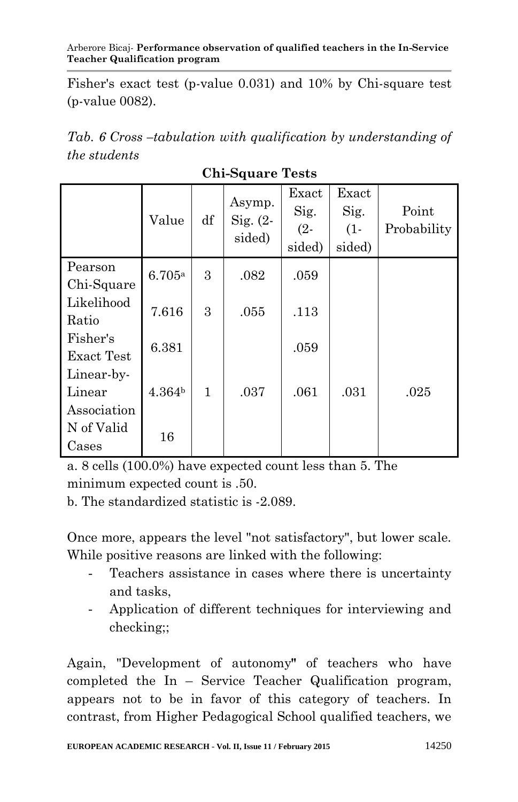#### Arberore Bicaj- **Performance observation of qualified teachers in the In-Service Teacher Qualification program**

Fisher's exact test (p-value 0.031) and 10% by Chi-square test (p-value 0082).

*Tab. 6 Cross –tabulation with qualification by understanding of the students*

|                   | Value              | df | Asymp.<br>$Sig. (2-$<br>sided) | Exact<br>Sig.<br>$(2 -$<br>sided) | Exact<br>Sig.<br>$(1 -$<br>sided) | Point<br>Probability |
|-------------------|--------------------|----|--------------------------------|-----------------------------------|-----------------------------------|----------------------|
| Pearson           | 6.705a             | 3  | .082                           | .059                              |                                   |                      |
| Chi-Square        |                    |    |                                |                                   |                                   |                      |
| Likelihood        | 7.616              | 3  | .055                           | .113                              |                                   |                      |
| Ratio             |                    |    |                                |                                   |                                   |                      |
| Fisher's          | 6.381              |    |                                | .059                              |                                   |                      |
| <b>Exact Test</b> |                    |    |                                |                                   |                                   |                      |
| Linear-by-        |                    |    |                                |                                   |                                   |                      |
| Linear            | 4.364 <sup>b</sup> | 1  | .037                           | .061                              | .031                              | .025                 |
| Association       |                    |    |                                |                                   |                                   |                      |
| N of Valid        |                    |    |                                |                                   |                                   |                      |
| Cases             | 16                 |    |                                |                                   |                                   |                      |

**Chi-Square Tests**

a. 8 cells (100.0%) have expected count less than 5. The minimum expected count is .50.

b. The standardized statistic is -2.089.

Once more, appears the level "not satisfactory", but lower scale. While positive reasons are linked with the following:

- Teachers assistance in cases where there is uncertainty and tasks,
- Application of different techniques for interviewing and checking;;

Again, "Development of autonomy**"** of teachers who have completed the In – Service Teacher Qualification program, appears not to be in favor of this category of teachers. In contrast, from Higher Pedagogical School qualified teachers, we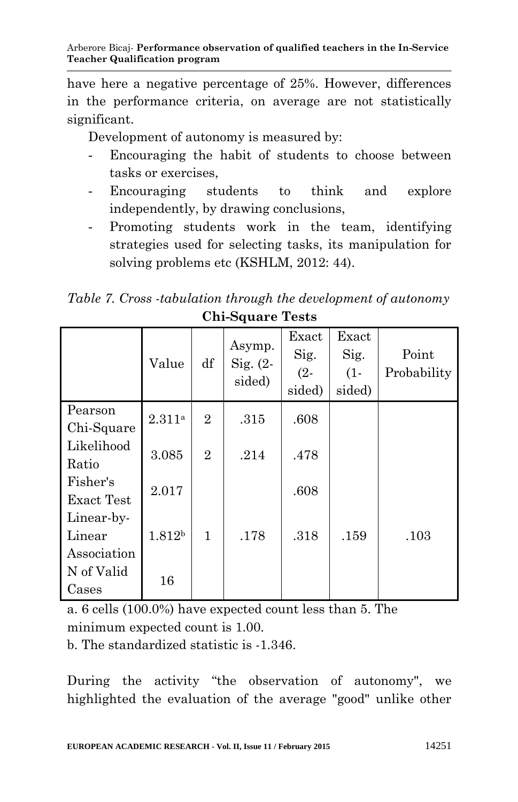have here a negative percentage of 25%. However, differences in the performance criteria, on average are not statistically significant.

Development of autonomy is measured by:

- Encouraging the habit of students to choose between tasks or exercises,
- Encouraging students to think and explore independently, by drawing conclusions,
- Promoting students work in the team, identifying strategies used for selecting tasks, its manipulation for solving problems etc (KSHLM, 2012: 44).

*Table 7. Cross -tabulation through the development of autonomy* **Chi-Square Tests**

|                                     | Value              | df             | Asymp.<br>Sig. $(2 -$<br>sided) | Exact<br>Sig.<br>$(2 -$<br>sided) | Exact<br>Sig.<br>$(1 -$<br>sided) | Point<br>Probability |
|-------------------------------------|--------------------|----------------|---------------------------------|-----------------------------------|-----------------------------------|----------------------|
| Pearson                             | 2.311a             | $\overline{2}$ | .315                            | .608                              |                                   |                      |
| Chi-Square<br>Likelihood<br>Ratio   | 3.085              | $\overline{2}$ | .214                            | .478                              |                                   |                      |
| Fisher's<br>Exact Test              | 2.017              |                |                                 | .608                              |                                   |                      |
| Linear-by-<br>Linear<br>Association | 1.812 <sup>b</sup> | 1              | .178                            | .318                              | .159                              | .103                 |
| N of Valid<br>Cases                 | 16                 |                |                                 |                                   |                                   |                      |

a. 6 cells (100.0%) have expected count less than 5. The minimum expected count is 1.00.

b. The standardized statistic is -1.346.

During the activity "the observation of autonomy", we highlighted the evaluation of the average "good" unlike other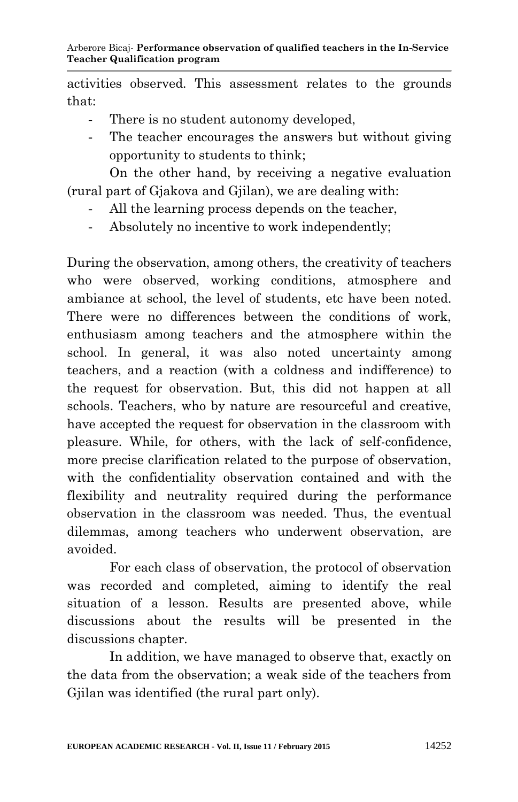activities observed. This assessment relates to the grounds that:

- There is no student autonomy developed,
- The teacher encourages the answers but without giving opportunity to students to think;

On the other hand, by receiving a negative evaluation (rural part of Gjakova and Gjilan), we are dealing with:

- All the learning process depends on the teacher,
- Absolutely no incentive to work independently;

During the observation, among others, the creativity of teachers who were observed, working conditions, atmosphere and ambiance at school, the level of students, etc have been noted. There were no differences between the conditions of work, enthusiasm among teachers and the atmosphere within the school. In general, it was also noted uncertainty among teachers, and a reaction (with a coldness and indifference) to the request for observation. But, this did not happen at all schools. Teachers, who by nature are resourceful and creative, have accepted the request for observation in the classroom with pleasure. While, for others, with the lack of self-confidence, more precise clarification related to the purpose of observation, with the confidentiality observation contained and with the flexibility and neutrality required during the performance observation in the classroom was needed. Thus, the eventual dilemmas, among teachers who underwent observation, are avoided.

For each class of observation, the protocol of observation was recorded and completed, aiming to identify the real situation of a lesson. Results are presented above, while discussions about the results will be presented in the discussions chapter.

In addition, we have managed to observe that, exactly on the data from the observation; a weak side of the teachers from Gjilan was identified (the rural part only).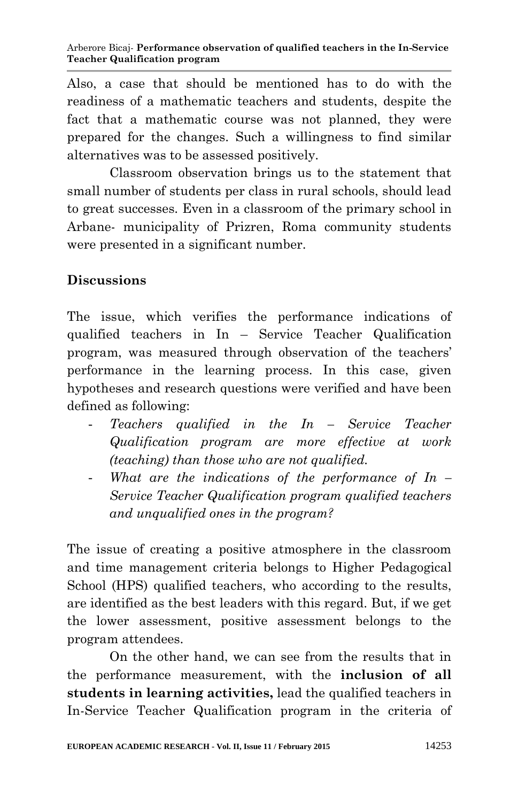Also, a case that should be mentioned has to do with the readiness of a mathematic teachers and students, despite the fact that a mathematic course was not planned, they were prepared for the changes. Such a willingness to find similar alternatives was to be assessed positively.

Classroom observation brings us to the statement that small number of students per class in rural schools, should lead to great successes. Even in a classroom of the primary school in Arbane- municipality of Prizren, Roma community students were presented in a significant number.

# **Discussions**

The issue, which verifies the performance indications of qualified teachers in In – Service Teacher Qualification program, was measured through observation of the teachers" performance in the learning process. In this case, given hypotheses and research questions were verified and have been defined as following:

- *Teachers qualified in the In – Service Teacher Qualification program are more effective at work (teaching) than those who are not qualified.*
- What are the *indications* of the performance of In *Service Teacher Qualification program qualified teachers and unqualified ones in the program?*

The issue of creating a positive atmosphere in the classroom and time management criteria belongs to Higher Pedagogical School (HPS) qualified teachers, who according to the results, are identified as the best leaders with this regard. But, if we get the lower assessment, positive assessment belongs to the program attendees.

On the other hand, we can see from the results that in the performance measurement, with the **inclusion of all students in learning activities,** lead the qualified teachers in In-Service Teacher Qualification program in the criteria of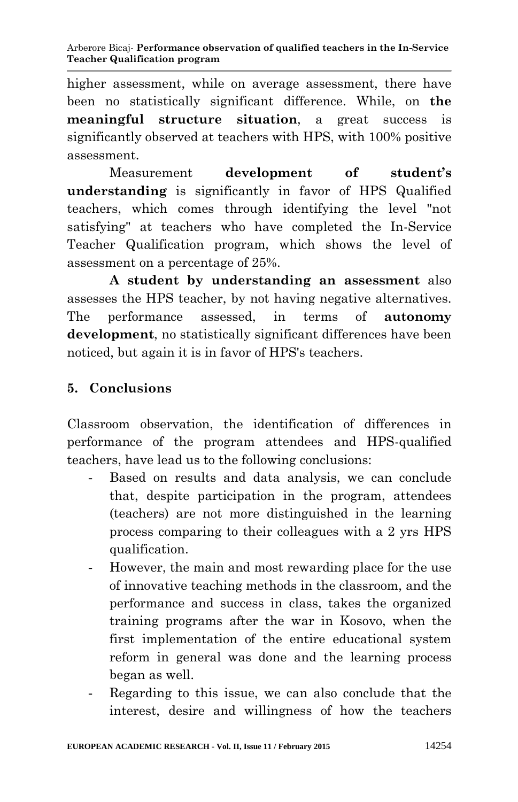higher assessment, while on average assessment, there have been no statistically significant difference. While, on **the meaningful structure situation**, a great success is significantly observed at teachers with HPS, with 100% positive assessment.

Measurement **development of student's understanding** is significantly in favor of HPS Qualified teachers, which comes through identifying the level "not satisfying" at teachers who have completed the In-Service Teacher Qualification program, which shows the level of assessment on a percentage of 25%.

**A student by understanding an assessment** also assesses the HPS teacher, by not having negative alternatives. The performance assessed, in terms of **autonomy development**, no statistically significant differences have been noticed, but again it is in favor of HPS's teachers.

# **5. Conclusions**

Classroom observation, the identification of differences in performance of the program attendees and HPS-qualified teachers, have lead us to the following conclusions:

- Based on results and data analysis, we can conclude that, despite participation in the program, attendees (teachers) are not more distinguished in the learning process comparing to their colleagues with a 2 yrs HPS qualification.
- However, the main and most rewarding place for the use of innovative teaching methods in the classroom, and the performance and success in class, takes the organized training programs after the war in Kosovo, when the first implementation of the entire educational system reform in general was done and the learning process began as well.
- Regarding to this issue, we can also conclude that the interest, desire and willingness of how the teachers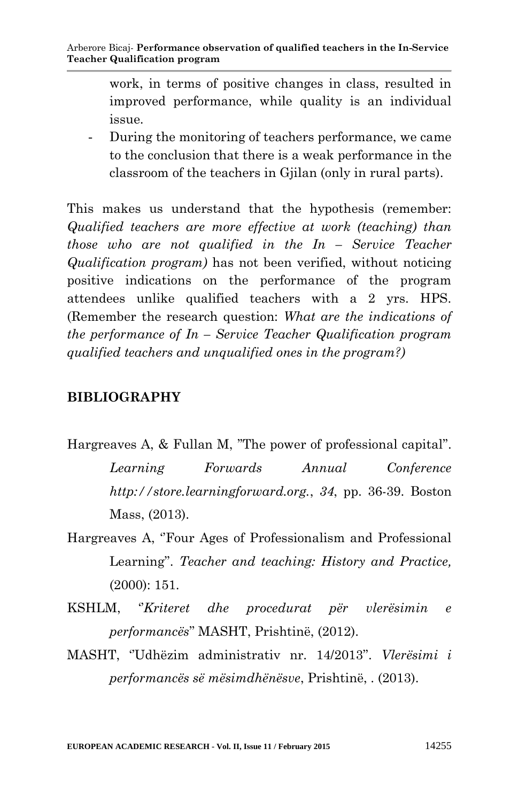work, in terms of positive changes in class, resulted in improved performance, while quality is an individual issue.

- During the monitoring of teachers performance, we came to the conclusion that there is a weak performance in the classroom of the teachers in Gjilan (only in rural parts).

This makes us understand that the hypothesis (remember: *Qualified teachers are more effective at work (teaching) than those who are not qualified in the In – Service Teacher Qualification program)* has not been verified, without noticing positive indications on the performance of the program attendees unlike qualified teachers with a 2 yrs. HPS. (Remember the research question: *What are the indications of the performance of In – Service Teacher Qualification program qualified teachers and unqualified ones in the program?)*

### **BIBLIOGRAPHY**

- Hargreaves A, & Fullan M, "The power of professional capital". *Learning Forwards Annual Conference http://store.learningforward.org.*, *34*, pp. 36-39. Boston Mass, (2013).
- Hargreaves A, "Four Ages of Professionalism and Professional Learning". *Teacher and teaching: History and Practice,* (2000): 151.
- KSHLM, *"Kriteret dhe procedurat për vlerësimin e performancës*"" MASHT, Prishtinë, (2012).
- MASHT, "Udhëzim administrativ nr. 14/2013". *Vlerësimi i performancës së mësimdhënësve*, Prishtinë, . (2013).